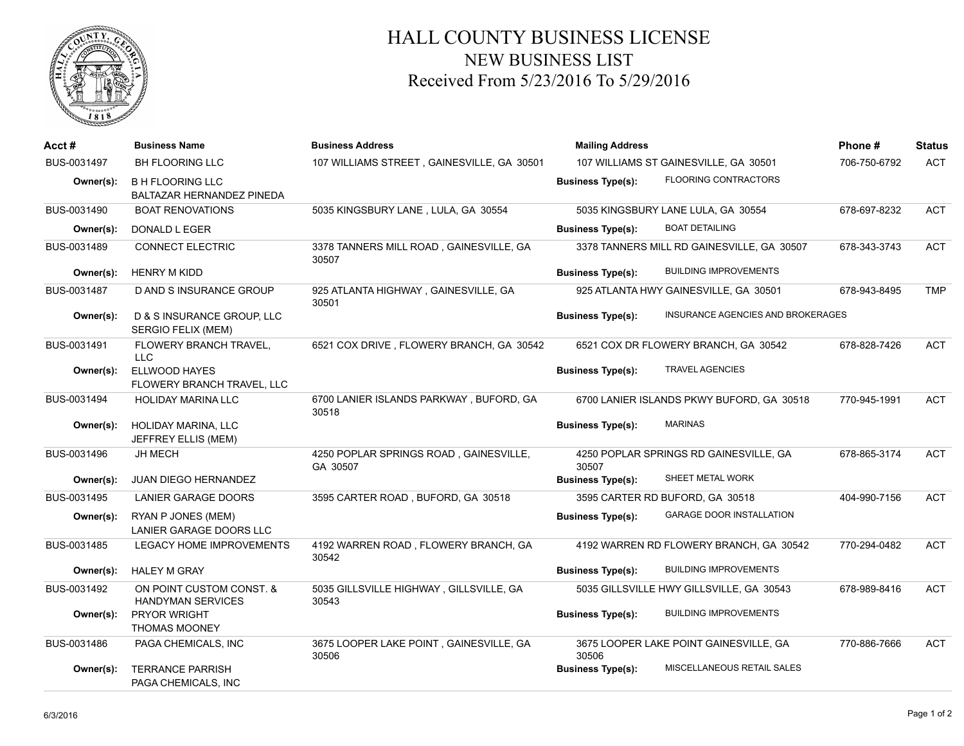

## HALL COUNTY BUSINESS LICENSE NEW BUSINESS LIST Received From 5/23/2016 To 5/29/2016

| Acct #      | <b>Business Name</b>                                 | <b>Business Address</b>                            | <b>Mailing Address</b>                |                                            | Phone #      | <b>Status</b> |
|-------------|------------------------------------------------------|----------------------------------------------------|---------------------------------------|--------------------------------------------|--------------|---------------|
| BUS-0031497 | <b>BH FLOORING LLC</b>                               | 107 WILLIAMS STREET, GAINESVILLE, GA 30501         | 107 WILLIAMS ST GAINESVILLE, GA 30501 |                                            | 706-750-6792 | <b>ACT</b>    |
| Owner(s):   | <b>B H FLOORING LLC</b><br>BALTAZAR HERNANDEZ PINEDA |                                                    | <b>Business Type(s):</b>              | <b>FLOORING CONTRACTORS</b>                |              |               |
| BUS-0031490 | <b>BOAT RENOVATIONS</b>                              | 5035 KINGSBURY LANE, LULA, GA 30554                |                                       | 5035 KINGSBURY LANE LULA, GA 30554         | 678-697-8232 | <b>ACT</b>    |
| Owner(s):   | DONALD L EGER                                        |                                                    | <b>Business Type(s):</b>              | <b>BOAT DETAILING</b>                      |              |               |
| BUS-0031489 | <b>CONNECT ELECTRIC</b>                              | 3378 TANNERS MILL ROAD, GAINESVILLE, GA<br>30507   |                                       | 3378 TANNERS MILL RD GAINESVILLE, GA 30507 | 678-343-3743 | ACT           |
| Owner(s):   | <b>HENRY M KIDD</b>                                  |                                                    | <b>Business Type(s):</b>              | <b>BUILDING IMPROVEMENTS</b>               |              |               |
| BUS-0031487 | D AND S INSURANCE GROUP                              | 925 ATLANTA HIGHWAY, GAINESVILLE, GA<br>30501      |                                       | 925 ATLANTA HWY GAINESVILLE, GA 30501      | 678-943-8495 | <b>TMP</b>    |
| Owner(s):   | D & S INSURANCE GROUP, LLC<br>SERGIO FELIX (MEM)     |                                                    | <b>Business Type(s):</b>              | INSURANCE AGENCIES AND BROKERAGES          |              |               |
| BUS-0031491 | FLOWERY BRANCH TRAVEL,<br><b>LLC</b>                 | 6521 COX DRIVE, FLOWERY BRANCH, GA 30542           |                                       | 6521 COX DR FLOWERY BRANCH, GA 30542       | 678-828-7426 | <b>ACT</b>    |
| Owner(s):   | ELLWOOD HAYES<br>FLOWERY BRANCH TRAVEL, LLC          |                                                    | <b>Business Type(s):</b>              | <b>TRAVEL AGENCIES</b>                     |              |               |
| BUS-0031494 | <b>HOLIDAY MARINA LLC</b>                            | 6700 LANIER ISLANDS PARKWAY, BUFORD, GA<br>30518   |                                       | 6700 LANIER ISLANDS PKWY BUFORD, GA 30518  | 770-945-1991 | ACT           |
| Owner(s):   | <b>HOLIDAY MARINA, LLC</b><br>JEFFREY ELLIS (MEM)    |                                                    | <b>Business Type(s):</b>              | <b>MARINAS</b>                             |              |               |
| BUS-0031496 | <b>JH MECH</b>                                       | 4250 POPLAR SPRINGS ROAD, GAINESVILLE,<br>GA 30507 | 30507                                 | 4250 POPLAR SPRINGS RD GAINESVILLE, GA     | 678-865-3174 | ACT           |
| Owner(s):   | JUAN DIEGO HERNANDEZ                                 |                                                    | <b>Business Type(s):</b>              | SHEET METAL WORK                           |              |               |
| BUS-0031495 | <b>LANIER GARAGE DOORS</b>                           | 3595 CARTER ROAD, BUFORD, GA 30518                 |                                       | 3595 CARTER RD BUFORD, GA 30518            | 404-990-7156 | ACT           |
| Owner(s):   | RYAN P JONES (MEM)<br>LANIER GARAGE DOORS LLC        |                                                    | <b>Business Type(s):</b>              | <b>GARAGE DOOR INSTALLATION</b>            |              |               |
| BUS-0031485 | <b>LEGACY HOME IMPROVEMENTS</b>                      | 4192 WARREN ROAD, FLOWERY BRANCH, GA<br>30542      |                                       | 4192 WARREN RD FLOWERY BRANCH, GA 30542    | 770-294-0482 | <b>ACT</b>    |
| Owner(s):   | <b>HALEY M GRAY</b>                                  |                                                    | <b>Business Type(s):</b>              | <b>BUILDING IMPROVEMENTS</b>               |              |               |
| BUS-0031492 | ON POINT CUSTOM CONST. &<br><b>HANDYMAN SERVICES</b> | 5035 GILLSVILLE HIGHWAY, GILLSVILLE, GA<br>30543   |                                       | 5035 GILLSVILLE HWY GILLSVILLE, GA 30543   | 678-989-8416 | ACT           |
| Owner(s):   | PRYOR WRIGHT<br><b>THOMAS MOONEY</b>                 |                                                    | <b>Business Type(s):</b>              | <b>BUILDING IMPROVEMENTS</b>               |              |               |
| BUS-0031486 | PAGA CHEMICALS, INC                                  | 3675 LOOPER LAKE POINT, GAINESVILLE, GA<br>30506   | 30506                                 | 3675 LOOPER LAKE POINT GAINESVILLE, GA     | 770-886-7666 | ACT           |
| Owner(s):   | <b>TERRANCE PARRISH</b><br>PAGA CHEMICALS. INC       |                                                    | <b>Business Type(s):</b>              | MISCELLANEOUS RETAIL SALES                 |              |               |